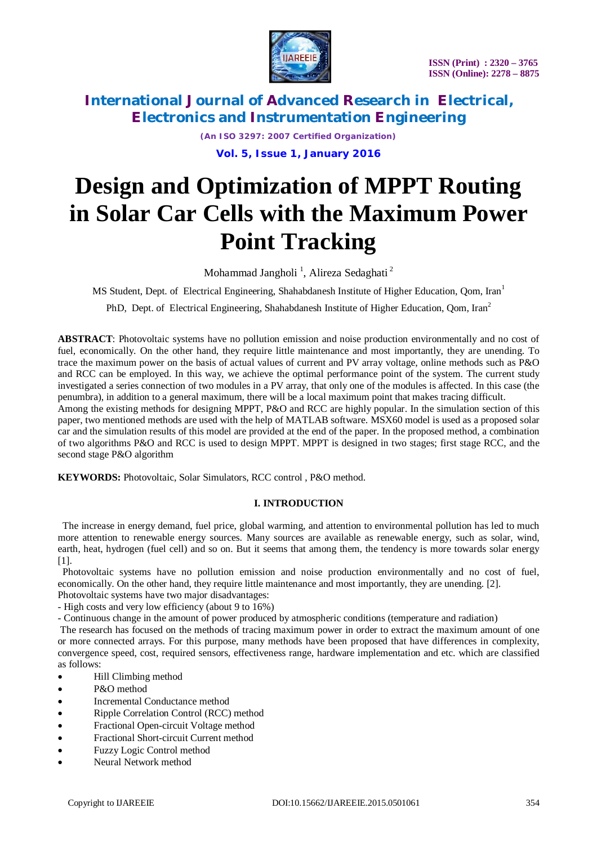

*(An ISO 3297: 2007 Certified Organization)*

**Vol. 5, Issue 1, January 2016**

# **Design and Optimization of MPPT Routing in Solar Car Cells with the Maximum Power Point Tracking**

Mohammad Jangholi <sup>1</sup>, Alireza Sedaghati <sup>2</sup>

MS Student, Dept. of Electrical Engineering, Shahabdanesh Institute of Higher Education, Qom, Iran<sup>1</sup>

PhD, Dept. of Electrical Engineering, Shahabdanesh Institute of Higher Education, Qom, Iran<sup>2</sup>

**ABSTRACT**: Photovoltaic systems have no pollution emission and noise production environmentally and no cost of fuel, economically. On the other hand, they require little maintenance and most importantly, they are unending. To trace the maximum power on the basis of actual values of current and PV array voltage, online methods such as P&O and RCC can be employed. In this way, we achieve the optimal performance point of the system. The current study investigated a series connection of two modules in a PV array, that only one of the modules is affected. In this case (the penumbra), in addition to a general maximum, there will be a local maximum point that makes tracing difficult. Among the existing methods for designing MPPT, P&O and RCC are highly popular. In the simulation section of this

paper, two mentioned methods are used with the help of MATLAB software. MSX60 model is used as a proposed solar car and the simulation results of this model are provided at the end of the paper. In the proposed method, a combination of two algorithms P&O and RCC is used to design MPPT. MPPT is designed in two stages; first stage RCC, and the second stage P&O algorithm

**KEYWORDS:** Photovoltaic, Solar Simulators, RCC control , P&O method.

### **I. INTRODUCTION**

 The increase in energy demand, fuel price, global warming, and attention to environmental pollution has led to much more attention to renewable energy sources. Many sources are available as renewable energy, such as solar, wind, earth, heat, hydrogen (fuel cell) and so on. But it seems that among them, the tendency is more towards solar energy [1].

 Photovoltaic systems have no pollution emission and noise production environmentally and no cost of fuel, economically. On the other hand, they require little maintenance and most importantly, they are unending. [2].

- Photovoltaic systems have two major disadvantages: - High costs and very low efficiency (about 9 to 16%)
- Continuous change in the amount of power produced by atmospheric conditions (temperature and radiation)

The research has focused on the methods of tracing maximum power in order to extract the maximum amount of one or more connected arrays. For this purpose, many methods have been proposed that have differences in complexity, convergence speed, cost, required sensors, effectiveness range, hardware implementation and etc. which are classified as follows:

- Hill Climbing method
- P&O method
- Incremental Conductance method
- Ripple Correlation Control (RCC) method
- Fractional Open-circuit Voltage method
- Fractional Short-circuit Current method
- Fuzzy Logic Control method
- Neural Network method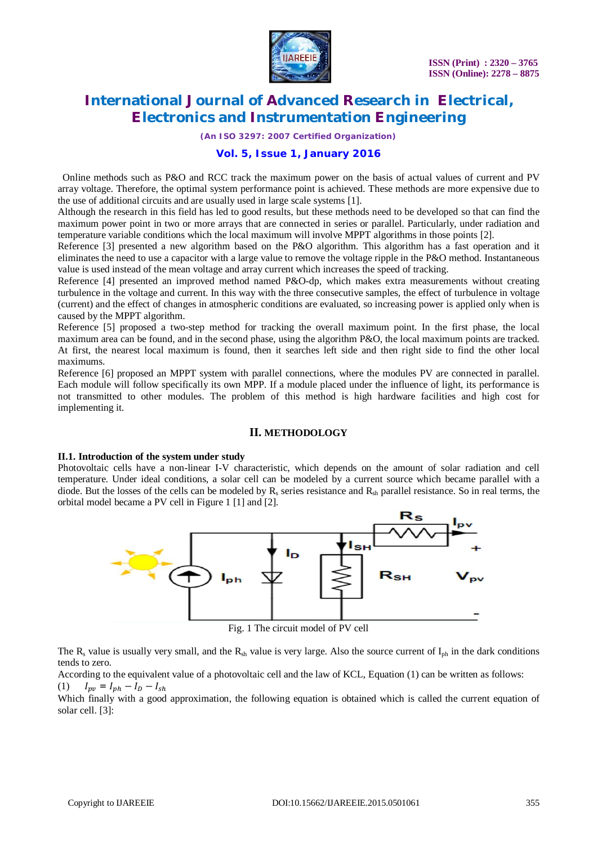

*(An ISO 3297: 2007 Certified Organization)*

### **Vol. 5, Issue 1, January 2016**

 Online methods such as P&O and RCC track the maximum power on the basis of actual values of current and PV array voltage. Therefore, the optimal system performance point is achieved. These methods are more expensive due to the use of additional circuits and are usually used in large scale systems [1].

Although the research in this field has led to good results, but these methods need to be developed so that can find the maximum power point in two or more arrays that are connected in series or parallel. Particularly, under radiation and temperature variable conditions which the local maximum will involve MPPT algorithms in those points [2].

Reference [3] presented a new algorithm based on the P&O algorithm. This algorithm has a fast operation and it eliminates the need to use a capacitor with a large value to remove the voltage ripple in the P&O method. Instantaneous value is used instead of the mean voltage and array current which increases the speed of tracking.

Reference [4] presented an improved method named P&O-dp, which makes extra measurements without creating turbulence in the voltage and current. In this way with the three consecutive samples, the effect of turbulence in voltage (current) and the effect of changes in atmospheric conditions are evaluated, so increasing power is applied only when is caused by the MPPT algorithm.

Reference [5] proposed a two-step method for tracking the overall maximum point. In the first phase, the local maximum area can be found, and in the second phase, using the algorithm P&O, the local maximum points are tracked. At first, the nearest local maximum is found, then it searches left side and then right side to find the other local maximums.

Reference [6] proposed an MPPT system with parallel connections, where the modules PV are connected in parallel. Each module will follow specifically its own MPP. If a module placed under the influence of light, its performance is not transmitted to other modules. The problem of this method is high hardware facilities and high cost for implementing it.

#### **II. METHODOLOGY**

#### **II.1. Introduction of the system under study**

Photovoltaic cells have a non-linear I-V characteristic, which depends on the amount of solar radiation and cell temperature. Under ideal conditions, a solar cell can be modeled by a current source which became parallel with a diode. But the losses of the cells can be modeled by  $R_s$  series resistance and  $R_{sh}$  parallel resistance. So in real terms, the orbital model became a PV cell in Figure 1 [1] and [2].



Fig. 1 The circuit model of PV cell

The  $R_s$  value is usually very small, and the  $R_{sh}$  value is very large. Also the source current of  $I_{ph}$  in the dark conditions tends to zero.

According to the equivalent value of a photovoltaic cell and the law of KCL, Equation (1) can be written as follows: (1)  $I_{pv} = I_{ph} - I_D - I_{sh}$ 

Which finally with a good approximation, the following equation is obtained which is called the current equation of solar cell. [3]: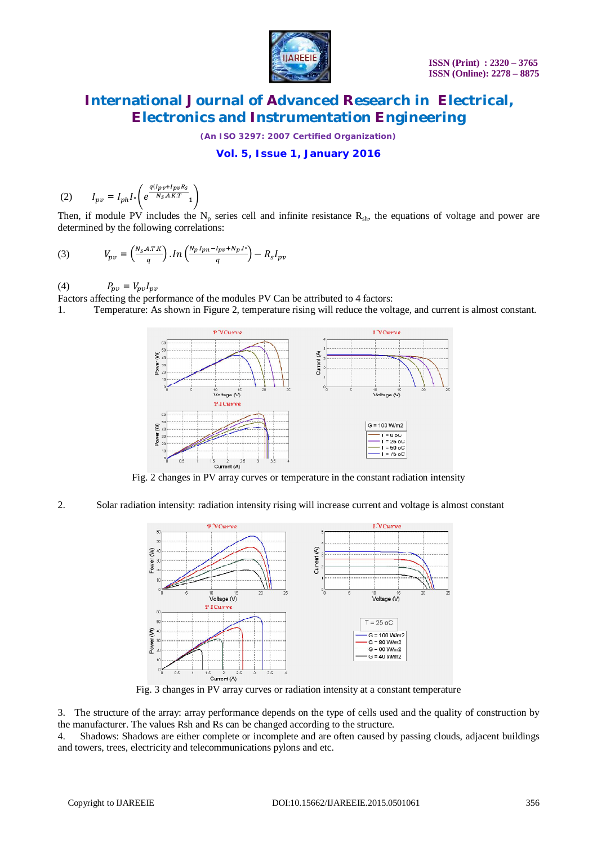

*(An ISO 3297: 2007 Certified Organization)*

## **Vol. 5, Issue 1, January 2016**

$$
(2) \qquad I_{pv} = I_{ph} I \circ \left( e^{\frac{q(I_{pv} + I_{pv}R_S}{N_S.A.K.T}} 1 \right)
$$

Then, if module PV includes the  $N_p$  series cell and infinite resistance  $R_{sh}$ , the equations of voltage and power are determined by the following correlations:

(3) 
$$
V_{pv} = \left(\frac{N_S.A.T.K}{q}\right).In\left(\frac{N_p I_{pn} - I_{pv} + N_p I^*}{q}\right) - R_S I_{pv}
$$

(4)  $P_{pv} = V_{pv}I_{pv}$ 

Factors affecting the performance of the modules PV Can be attributed to 4 factors:

1. Temperature: As shown in Figure 2, temperature rising will reduce the voltage, and current is almost constant.



Fig. 2 changes in PV array curves or temperature in the constant radiation intensity

2. Solar radiation intensity: radiation intensity rising will increase current and voltage is almost constant



Fig. 3 changes in PV array curves or radiation intensity at a constant temperature

3. The structure of the array: array performance depends on the type of cells used and the quality of construction by the manufacturer. The values Rsh and Rs can be changed according to the structure.

4. Shadows: Shadows are either complete or incomplete and are often caused by passing clouds, adjacent buildings and towers, trees, electricity and telecommunications pylons and etc.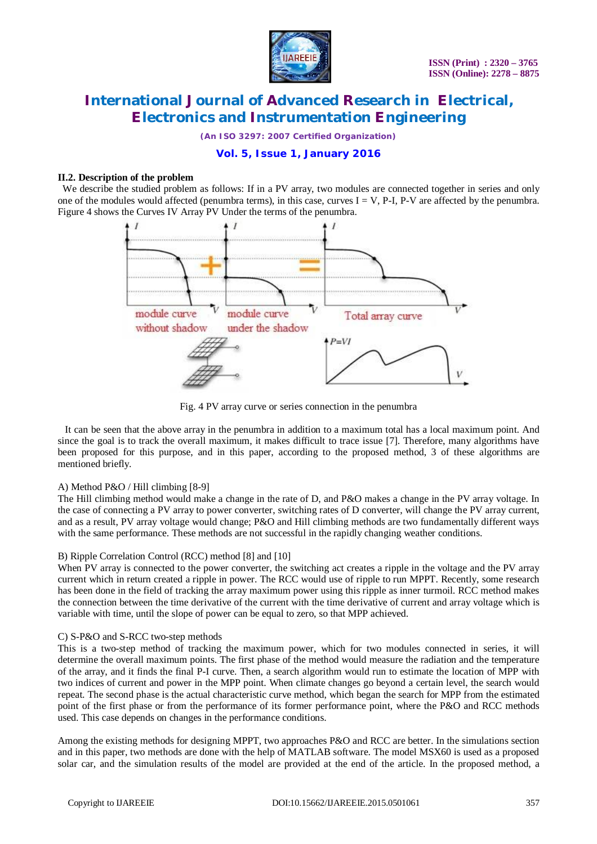

*(An ISO 3297: 2007 Certified Organization)*

### **Vol. 5, Issue 1, January 2016**

#### **II.2. Description of the problem**

We describe the studied problem as follows: If in a PV array, two modules are connected together in series and only one of the modules would affected (penumbra terms), in this case, curves  $I = V$ , P-I, P-V are affected by the penumbra. Figure 4 shows the Curves IV Array PV Under the terms of the penumbra.



Fig. 4 PV array curve or series connection in the penumbra

 It can be seen that the above array in the penumbra in addition to a maximum total has a local maximum point. And since the goal is to track the overall maximum, it makes difficult to trace issue [7]. Therefore, many algorithms have been proposed for this purpose, and in this paper, according to the proposed method, 3 of these algorithms are mentioned briefly.

#### A) Method P&O / Hill climbing [8-9]

The Hill climbing method would make a change in the rate of D, and P&O makes a change in the PV array voltage. In the case of connecting a PV array to power converter, switching rates of D converter, will change the PV array current, and as a result, PV array voltage would change; P&O and Hill climbing methods are two fundamentally different ways with the same performance. These methods are not successful in the rapidly changing weather conditions.

#### B) Ripple Correlation Control (RCC) method [8] and [10]

When PV array is connected to the power converter, the switching act creates a ripple in the voltage and the PV array current which in return created a ripple in power. The RCC would use of ripple to run MPPT. Recently, some research has been done in the field of tracking the array maximum power using this ripple as inner turmoil. RCC method makes the connection between the time derivative of the current with the time derivative of current and array voltage which is variable with time, until the slope of power can be equal to zero, so that MPP achieved.

#### C) S-P&O and S-RCC two-step methods

This is a two-step method of tracking the maximum power, which for two modules connected in series, it will determine the overall maximum points. The first phase of the method would measure the radiation and the temperature of the array, and it finds the final P-I curve. Then, a search algorithm would run to estimate the location of MPP with two indices of current and power in the MPP point. When climate changes go beyond a certain level, the search would repeat. The second phase is the actual characteristic curve method, which began the search for MPP from the estimated point of the first phase or from the performance of its former performance point, where the P&O and RCC methods used. This case depends on changes in the performance conditions.

Among the existing methods for designing MPPT, two approaches P&O and RCC are better. In the simulations section and in this paper, two methods are done with the help of MATLAB software. The model MSX60 is used as a proposed solar car, and the simulation results of the model are provided at the end of the article. In the proposed method, a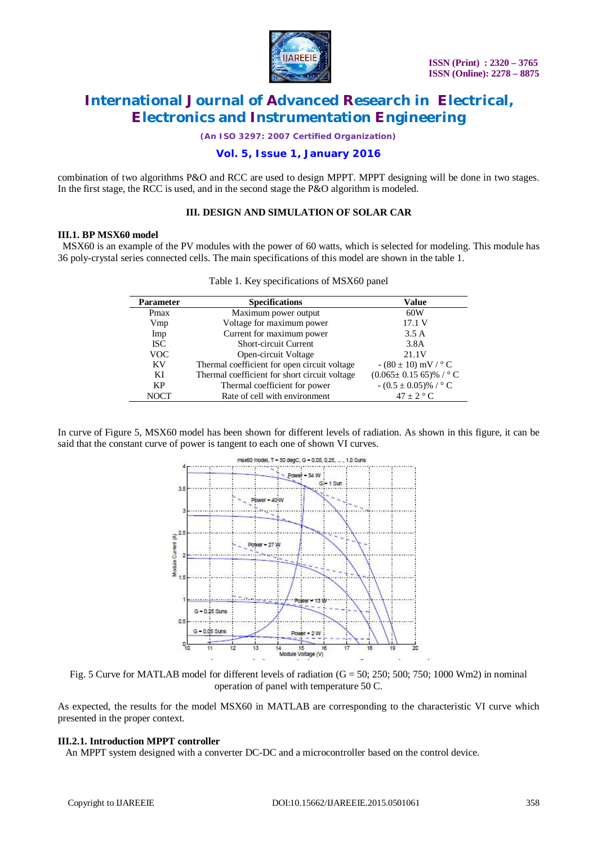

*(An ISO 3297: 2007 Certified Organization)*

### **Vol. 5, Issue 1, January 2016**

combination of two algorithms P&O and RCC are used to design MPPT. MPPT designing will be done in two stages. In the first stage, the RCC is used, and in the second stage the P&O algorithm is modeled.

### **III. DESIGN AND SIMULATION OF SOLAR CAR**

#### **III.1. BP MSX60 model**

 MSX60 is an example of the PV modules with the power of 60 watts, which is selected for modeling. This module has 36 poly-crystal series connected cells. The main specifications of this model are shown in the table 1.

| <b>Parameter</b> | <b>Specifications</b>                         | Value                               |  |
|------------------|-----------------------------------------------|-------------------------------------|--|
| Pmax             | Maximum power output                          | 60W                                 |  |
| Vmp              | Voltage for maximum power                     | 17.1 V                              |  |
| Imp              | Current for maximum power                     | 3.5A                                |  |
| <b>ISC</b>       | <b>Short-circuit Current</b>                  | 3.8A                                |  |
| <b>VOC</b>       | Open-circuit Voltage                          | 21.1V                               |  |
| <b>KV</b>        | Thermal coefficient for open circuit voltage  | $- (80 \pm 10)$ mV / $^{\circ}$ C   |  |
| KI               | Thermal coefficient for short circuit voltage | $(0.065 \pm 0.15\,65)\%$ / ° C      |  |
| KP               | Thermal coefficient for power                 | $- (0.5 \pm 0.05)\%$ / $^{\circ}$ C |  |
| <b>NOCT</b>      | Rate of cell with environment                 | $47 \pm 2$ ° C                      |  |

|  |  | Table 1. Key specifications of MSX60 panel |  |  |
|--|--|--------------------------------------------|--|--|
|--|--|--------------------------------------------|--|--|

In curve of Figure 5, MSX60 model has been shown for different levels of radiation. As shown in this figure, it can be said that the constant curve of power is tangent to each one of shown VI curves.



Fig. 5 Curve for MATLAB model for different levels of radiation  $(G = 50; 250; 500; 750; 1000 Wm2)$  in nominal operation of panel with temperature 50 C.

As expected, the results for the model MSX60 in MATLAB are corresponding to the characteristic VI curve which presented in the proper context.

#### **III.2.1. Introduction MPPT controller**

An MPPT system designed with a converter DC-DC and a microcontroller based on the control device.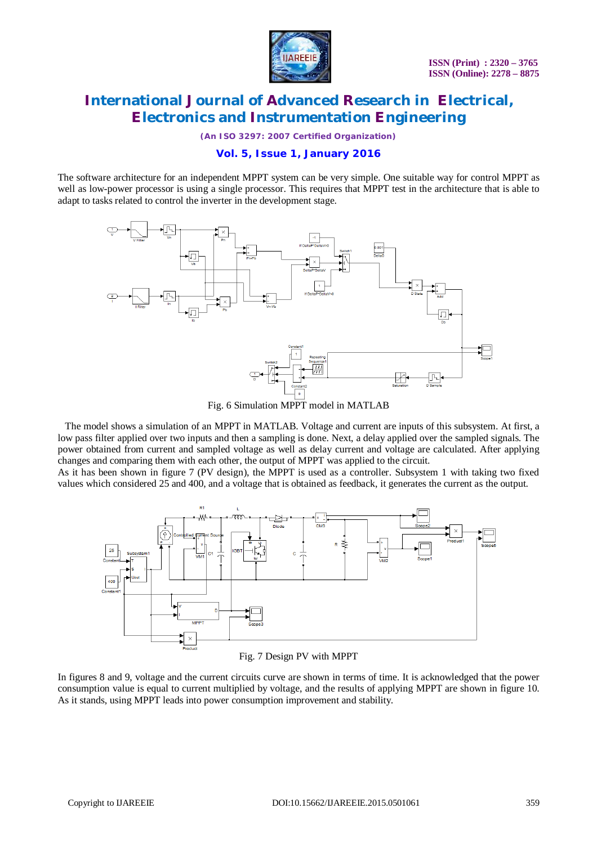

*(An ISO 3297: 2007 Certified Organization)*

### **Vol. 5, Issue 1, January 2016**

The software architecture for an independent MPPT system can be very simple. One suitable way for control MPPT as well as low-power processor is using a single processor. This requires that MPPT test in the architecture that is able to adapt to tasks related to control the inverter in the development stage.



Fig. 6 Simulation MPPT model in MATLAB

 The model shows a simulation of an MPPT in MATLAB. Voltage and current are inputs of this subsystem. At first, a low pass filter applied over two inputs and then a sampling is done. Next, a delay applied over the sampled signals. The power obtained from current and sampled voltage as well as delay current and voltage are calculated. After applying changes and comparing them with each other, the output of MPPT was applied to the circuit.

As it has been shown in figure 7 (PV design), the MPPT is used as a controller. Subsystem 1 with taking two fixed values which considered 25 and 400, and a voltage that is obtained as feedback, it generates the current as the output.



Fig. 7 Design PV with MPPT

In figures 8 and 9, voltage and the current circuits curve are shown in terms of time. It is acknowledged that the power consumption value is equal to current multiplied by voltage, and the results of applying MPPT are shown in figure 10. As it stands, using MPPT leads into power consumption improvement and stability.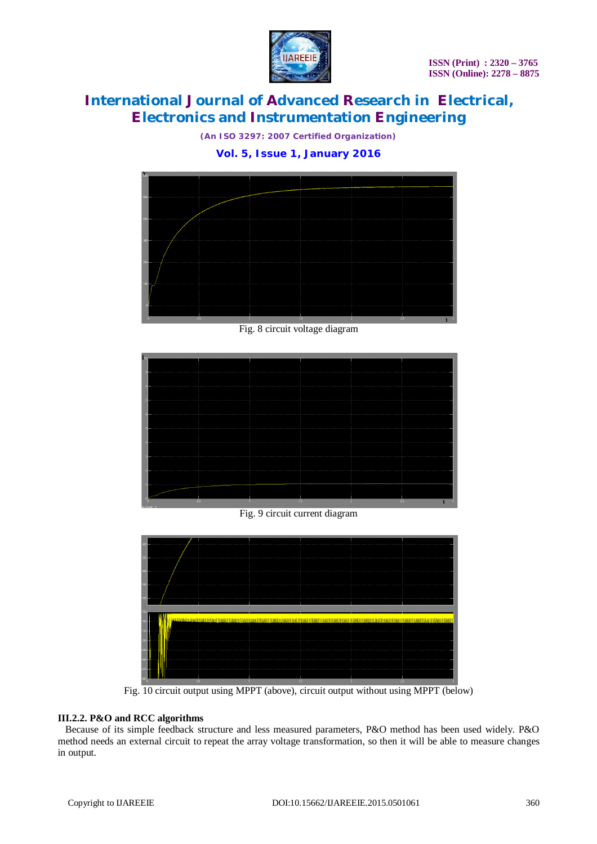

*(An ISO 3297: 2007 Certified Organization)*

### **Vol. 5, Issue 1, January 2016**



Fig. 8 circuit voltage diagram



Fig. 9 circuit current diagram



Fig. 10 circuit output using MPPT (above), circuit output without using MPPT (below)

### **III.2.2. P&O and RCC algorithms**

 Because of its simple feedback structure and less measured parameters, P&O method has been used widely. P&O method needs an external circuit to repeat the array voltage transformation, so then it will be able to measure changes in output.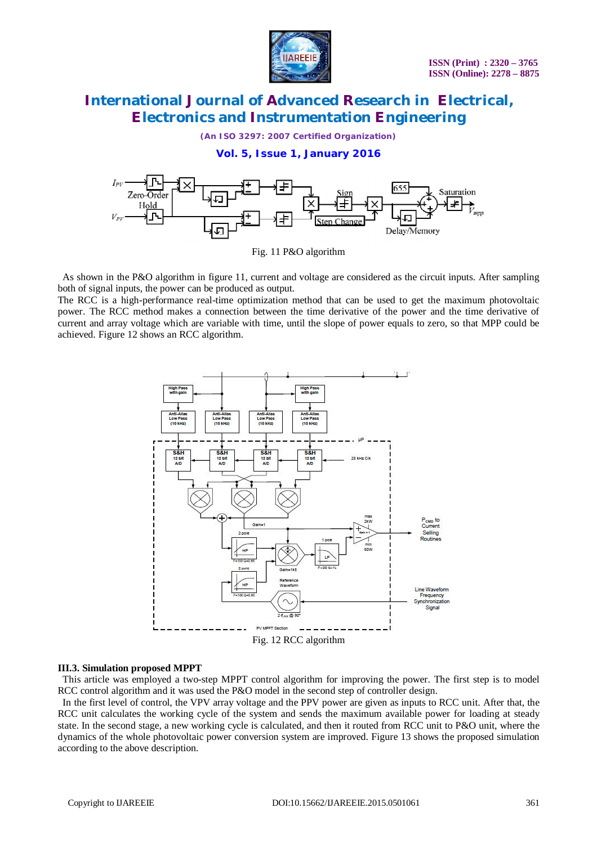

*(An ISO 3297: 2007 Certified Organization)*

**Vol. 5, Issue 1, January 2016**



Fig. 11 P&O algorithm

 As shown in the P&O algorithm in figure 11, current and voltage are considered as the circuit inputs. After sampling both of signal inputs, the power can be produced as output.

The RCC is a high-performance real-time optimization method that can be used to get the maximum photovoltaic power. The RCC method makes a connection between the time derivative of the power and the time derivative of current and array voltage which are variable with time, until the slope of power equals to zero, so that MPP could be achieved. Figure 12 shows an RCC algorithm.



#### **III.3. Simulation proposed MPPT**

 This article was employed a two-step MPPT control algorithm for improving the power. The first step is to model RCC control algorithm and it was used the P&O model in the second step of controller design.

 In the first level of control, the VPV array voltage and the PPV power are given as inputs to RCC unit. After that, the RCC unit calculates the working cycle of the system and sends the maximum available power for loading at steady state. In the second stage, a new working cycle is calculated, and then it routed from RCC unit to P&O unit, where the dynamics of the whole photovoltaic power conversion system are improved. Figure 13 shows the proposed simulation according to the above description.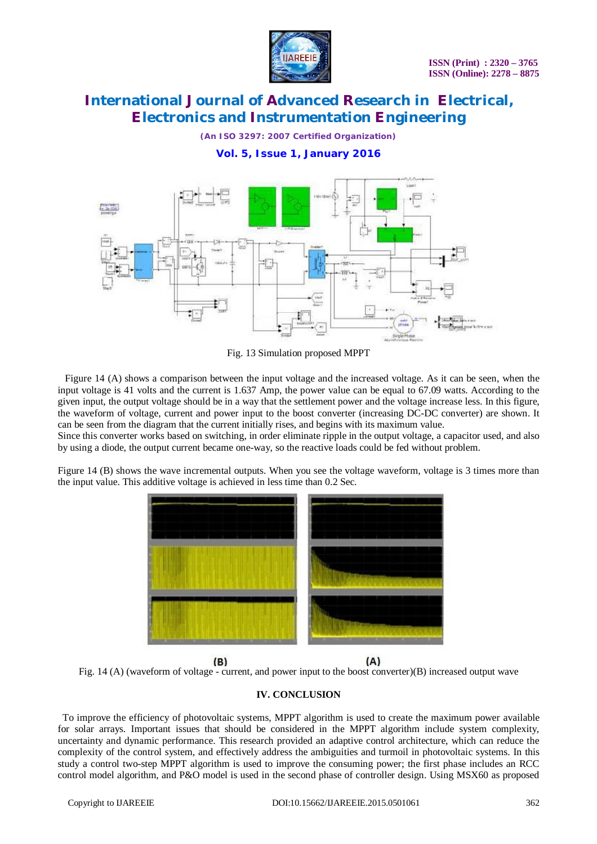

*(An ISO 3297: 2007 Certified Organization)*

**Vol. 5, Issue 1, January 2016**



Fig. 13 Simulation proposed MPPT

 Figure 14 (A) shows a comparison between the input voltage and the increased voltage. As it can be seen, when the input voltage is 41 volts and the current is 1.637 Amp, the power value can be equal to 67.09 watts. According to the given input, the output voltage should be in a way that the settlement power and the voltage increase less. In this figure, the waveform of voltage, current and power input to the boost converter (increasing DC-DC converter) are shown. It can be seen from the diagram that the current initially rises, and begins with its maximum value.

Since this converter works based on switching, in order eliminate ripple in the output voltage, a capacitor used, and also by using a diode, the output current became one-way, so the reactive loads could be fed without problem.

Figure 14 (B) shows the wave incremental outputs. When you see the voltage waveform, voltage is 3 times more than the input value. This additive voltage is achieved in less time than 0.2 Sec.



 $(B)$  $(A)$ Fig. 14 (A) (waveform of voltage - current, and power input to the boost converter)(B) increased output wave

### **IV. CONCLUSION**

 To improve the efficiency of photovoltaic systems, MPPT algorithm is used to create the maximum power available for solar arrays. Important issues that should be considered in the MPPT algorithm include system complexity, uncertainty and dynamic performance. This research provided an adaptive control architecture, which can reduce the complexity of the control system, and effectively address the ambiguities and turmoil in photovoltaic systems. In this study a control two-step MPPT algorithm is used to improve the consuming power; the first phase includes an RCC control model algorithm, and P&O model is used in the second phase of controller design. Using MSX60 as proposed